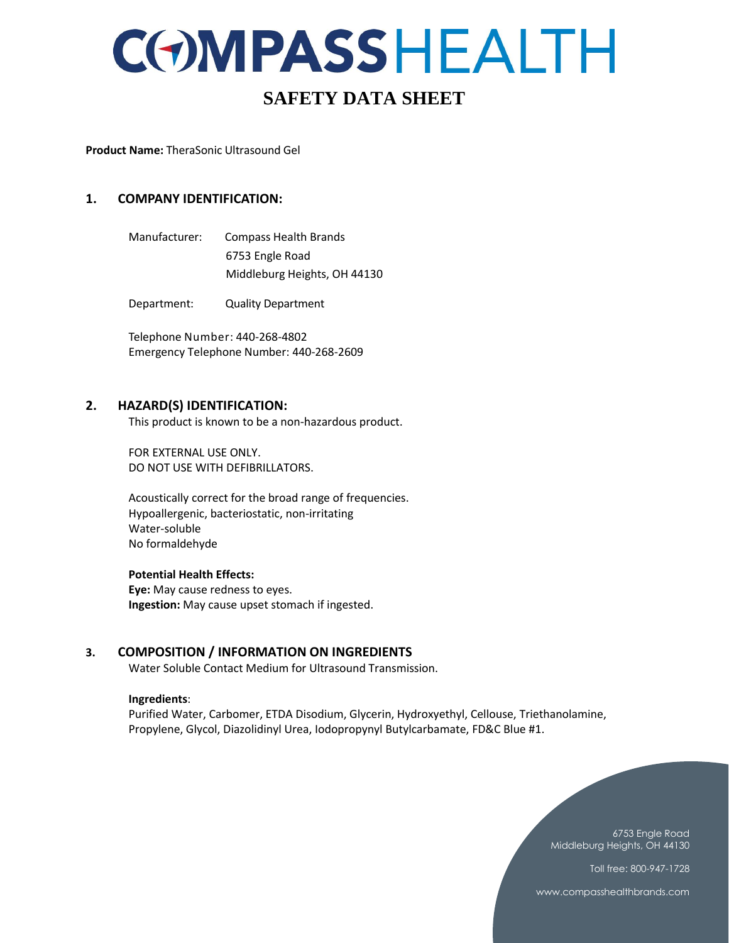## **SAFETY DATA SHEET**

**Product Name:** TheraSonic Ultrasound Gel

#### **1. COMPANY IDENTIFICATION:**

Manufacturer: Compass Health Brands 6753 Engle Road Middleburg Heights, OH 44130

Department: Quality Department

Telephone Number: 440-268-4802 Emergency Telephone Number: 440-268-2609

#### **2. HAZARD(S) IDENTIFICATION:**

This product is known to be a non-hazardous product.

FOR EXTERNAL USE ONLY. DO NOT USE WITH DEFIBRILLATORS.

Acoustically correct for the broad range of frequencies. Hypoallergenic, bacteriostatic, non-irritating Water-soluble No formaldehyde

#### **Potential Health Effects:**

**Eye:** May cause redness to eyes. **Ingestion:** May cause upset stomach if ingested.

#### **3. COMPOSITION / INFORMATION ON INGREDIENTS**

Water Soluble Contact Medium for Ultrasound Transmission.

#### **Ingredients**:

Purified Water, Carbomer, ETDA Disodium, Glycerin, Hydroxyethyl, Cellouse, Triethanolamine, Propylene, Glycol, Diazolidinyl Urea, Iodopropynyl Butylcarbamate, FD&C Blue #1.



Toll free: 800-947-1728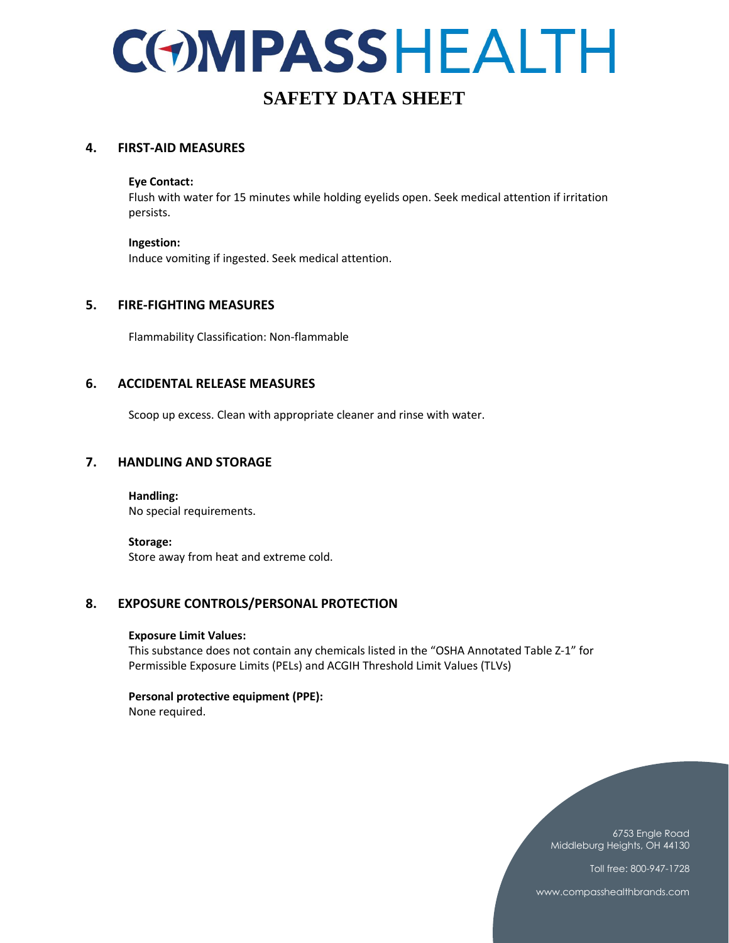### **SAFETY DATA SHEET**

#### **4. FIRST-AID MEASURES**

#### **Eye Contact:**

Flush with water for 15 minutes while holding eyelids open. Seek medical attention if irritation persists.

#### **Ingestion:**

Induce vomiting if ingested. Seek medical attention.

#### **5. FIRE-FIGHTING MEASURES**

Flammability Classification: Non-flammable

#### **6. ACCIDENTAL RELEASE MEASURES**

Scoop up excess. Clean with appropriate cleaner and rinse with water.

#### **7. HANDLING AND STORAGE**

**Handling:**  No special requirements.

#### **Storage:**

Store away from heat and extreme cold.

#### **8. EXPOSURE CONTROLS/PERSONAL PROTECTION**

#### **Exposure Limit Values:**

This substance does not contain any chemicals listed in the "OSHA Annotated Table Z-1" for Permissible Exposure Limits (PELs) and ACGIH Threshold Limit Values (TLVs)

### **Personal protective equipment (PPE):**

None required.

6753 Engle Road Middleburg Heights, OH 44130 Toll free: 800-947-1728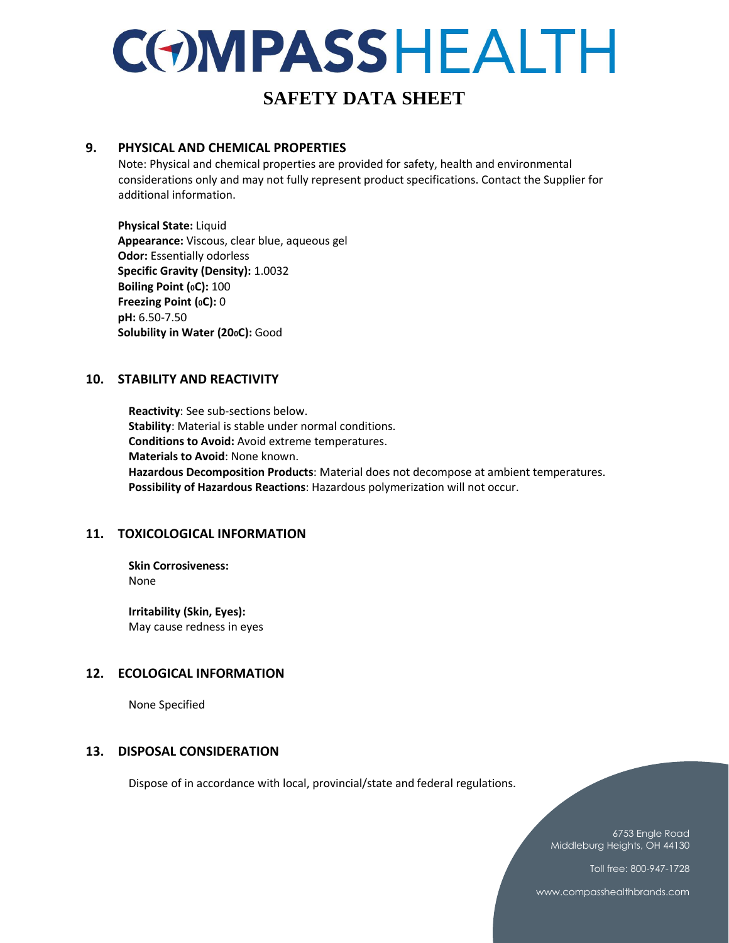### **SAFETY DATA SHEET**

#### **9. PHYSICAL AND CHEMICAL PROPERTIES**

Note: Physical and chemical properties are provided for safety, health and environmental considerations only and may not fully represent product specifications. Contact the Supplier for additional information.

**Physical State:** Liquid **Appearance:** Viscous, clear blue, aqueous gel **Odor:** Essentially odorless **Specific Gravity (Density):** 1.0032 **Boiling Point (0C):** 100 **Freezing Point (0C):** 0 **pH:** 6.50-7.50 **Solubility in Water (200C):** Good

#### **10. STABILITY AND REACTIVITY**

**Reactivity**: See sub-sections below. **Stability**: Material is stable under normal conditions. **Conditions to Avoid:** Avoid extreme temperatures. **Materials to Avoid**: None known. **Hazardous Decomposition Products**: Material does not decompose at ambient temperatures. **Possibility of Hazardous Reactions**: Hazardous polymerization will not occur.

#### **11. TOXICOLOGICAL INFORMATION**

**Skin Corrosiveness:** None

**Irritability (Skin, Eyes):** May cause redness in eyes

#### **12. ECOLOGICAL INFORMATION**

None Specified

#### **13. DISPOSAL CONSIDERATION**

Dispose of in accordance with local, provincial/state and federal regulations.

6753 Engle Road Middleburg Heights, OH 44130

Toll free: 800-947-1728